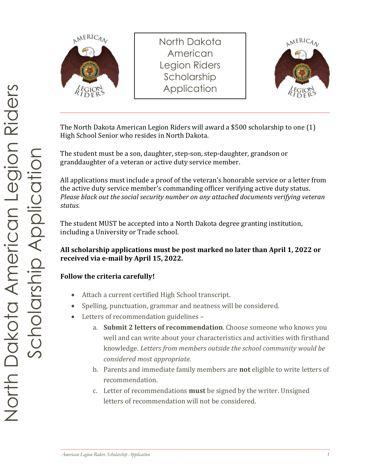

North Dakota American Legion Riders Scholarship **Application** 



The North Dakota American Legion Riders will award a \$500 scholarship to one (1) High School Senior who resides in North Dakota.

The student must be a son, daughter, step-son, step-daughter, grandson or granddaughter of a veteran or active duty service member.

All applications must include a proof of the veteran's honorable service or a letter from the active duty service member's commanding officer verifying active duty status. *Please black out the social security number on any attached documents verifying veteran status.* 

The student MUST be accepted into a North Dakota degree granting institution, including a University or Trade school.

#### **All scholarship applications must be post marked no later than April 1, 2022 or received via e-mail by April 15, 2022.**

#### **Follow the criteria carefully!**

- Attach a current certified High School transcript.
- Spelling, punctuation, grammar and neatness will be considered.
- Letters of recommendation guidelines
	- a. **Submit 2 letters of recommendation**. Choose someone who knows you well and can write about your characteristics and activities with firsthand knowledge. *Letters from members outside the school community would be considered most appropriate.*
	- b. Parents and immediate family members are **not** eligible to write letters of recommendation.
	- c. Letter of recommendations **must** be signed by the writer. Unsigned letters of recommendation will not be considered.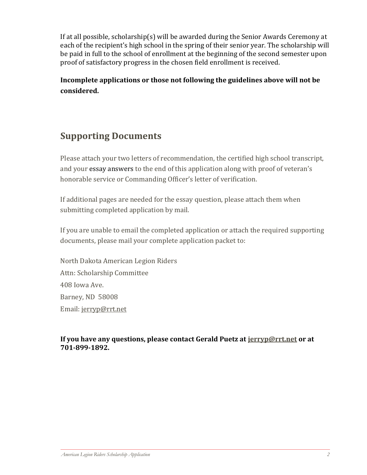If at all possible, scholarship(s) will be awarded during the Senior Awards Ceremony at each of the recipient's high school in the spring of their senior year. The scholarship will be paid in full to the school of enrollment at the beginning of the second semester upon proof of satisfactory progress in the chosen field enrollment is received.

**Incomplete applications or those not following the guidelines above will not be considered.**

## **Supporting Documents**

Please attach your two letters of recommendation, the certified high school transcript, and your essay answers to the end of this application along with proof of veteran's honorable service or Commanding Officer's letter of verification.

If additional pages are needed for the essay question, please attach them when submitting completed application by mail.

If you are unable to email the completed application or attach the required supporting documents, please mail your complete application packet to:

North Dakota American Legion Riders Attn: Scholarship Committee 408 Iowa Ave. Barney, ND 58008 Email: [jerryp@rrt.net](mailto:jerryp@rrt.net)

**If you have any questions, please contact Gerald Puetz at [jerryp@rrt.net](mailto:jerryp@rrt.net) or at 701-899-1892.**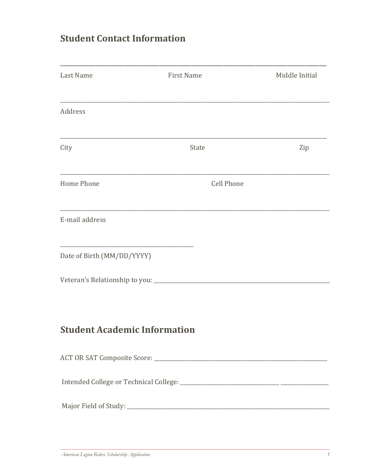## **Student Contact Information**

| Last Name                           | <b>First Name</b> | Middle Initial |
|-------------------------------------|-------------------|----------------|
| Address                             |                   |                |
| City                                | State             | Zip            |
| <b>Home Phone</b>                   | <b>Cell Phone</b> |                |
| E-mail address                      |                   |                |
| Date of Birth (MM/DD/YYYY)          |                   |                |
|                                     |                   |                |
| <b>Student Academic Information</b> |                   |                |
|                                     |                   |                |
|                                     |                   |                |
|                                     |                   |                |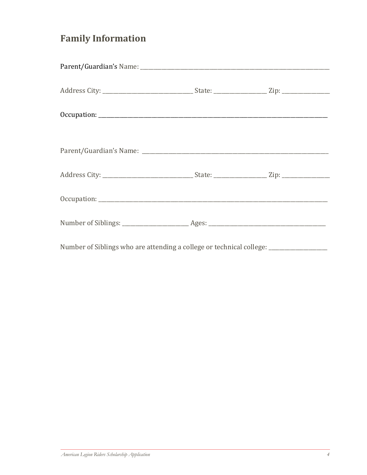# **Family Information**

| Number of Siblings who are attending a college or technical college: ____________ |  |  |
|-----------------------------------------------------------------------------------|--|--|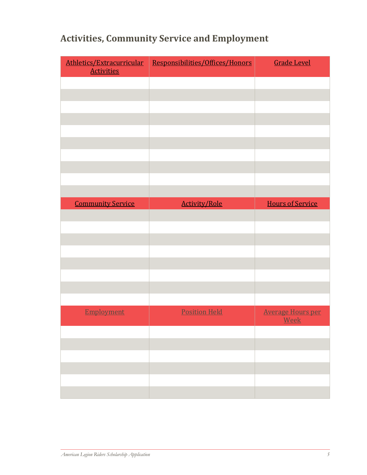| Athletics/Extracurricular<br><b>Activities</b> | Responsibilities/Offices/Honors | <b>Grade Level</b>               |
|------------------------------------------------|---------------------------------|----------------------------------|
|                                                |                                 |                                  |
|                                                |                                 |                                  |
|                                                |                                 |                                  |
|                                                |                                 |                                  |
|                                                |                                 |                                  |
|                                                |                                 |                                  |
|                                                |                                 |                                  |
|                                                |                                 |                                  |
|                                                |                                 |                                  |
| <b>Community Service</b>                       |                                 | <b>Hours of Service</b>          |
|                                                | <b>Activity/Role</b>            |                                  |
|                                                |                                 |                                  |
|                                                |                                 |                                  |
|                                                |                                 |                                  |
|                                                |                                 |                                  |
|                                                |                                 |                                  |
|                                                |                                 |                                  |
|                                                |                                 |                                  |
| Employment                                     | <b>Position Held</b>            | <b>Average Hours per</b><br>Week |
|                                                |                                 |                                  |
|                                                |                                 |                                  |
|                                                |                                 |                                  |
|                                                |                                 |                                  |
|                                                |                                 |                                  |
|                                                |                                 |                                  |

## **Activities, Community Service and Employment**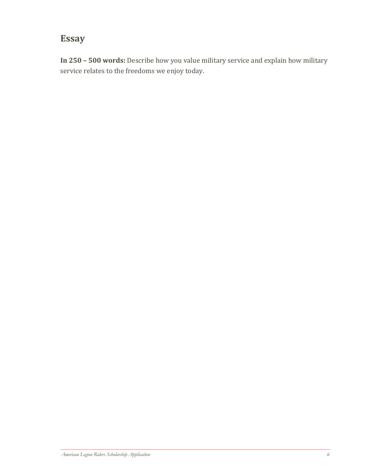### **Essay**

**In 250 – 500 words:** Describe how you value military service and explain how military service relates to the freedoms we enjoy today.